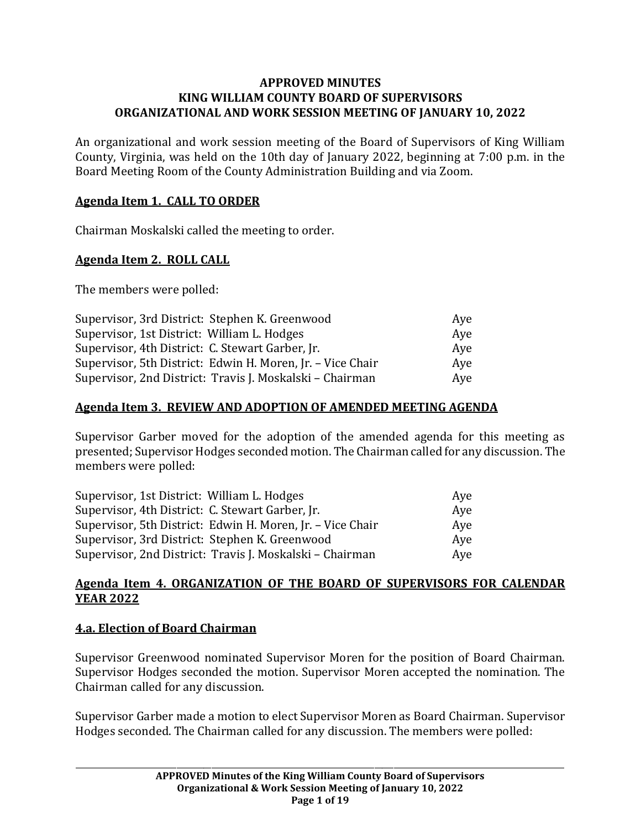### **APPROVED MINUTES KING WILLIAM COUNTY BOARD OF SUPERVISORS ORGANIZATIONAL AND WORK SESSION MEETING OF JANUARY 10, 2022**

An organizational and work session meeting of the Board of Supervisors of King William County, Virginia, was held on the 10th day of January 2022, beginning at 7:00 p.m. in the Board Meeting Room of the County Administration Building and via Zoom.

## **Agenda Item 1. CALL TO ORDER**

Chairman Moskalski called the meeting to order.

## **Agenda Item 2. ROLL CALL**

The members were polled:

| Supervisor, 3rd District: Stephen K. Greenwood             | Ave |
|------------------------------------------------------------|-----|
| Supervisor, 1st District: William L. Hodges                | Aye |
| Supervisor, 4th District: C. Stewart Garber, Jr.           | Aye |
| Supervisor, 5th District: Edwin H. Moren, Jr. - Vice Chair | Ave |
| Supervisor, 2nd District: Travis J. Moskalski – Chairman   | Aye |

### **Agenda Item 3. REVIEW AND ADOPTION OF AMENDED MEETING AGENDA**

Supervisor Garber moved for the adoption of the amended agenda for this meeting as presented;Supervisor Hodges seconded motion. The Chairman called for any discussion. The members were polled:

| Supervisor, 1st District: William L. Hodges                | Aye |
|------------------------------------------------------------|-----|
| Supervisor, 4th District: C. Stewart Garber, Jr.           | Ave |
| Supervisor, 5th District: Edwin H. Moren, Jr. - Vice Chair | Aye |
| Supervisor, 3rd District: Stephen K. Greenwood             | Ave |
| Supervisor, 2nd District: Travis J. Moskalski – Chairman   | Aye |

## **Agenda Item 4. ORGANIZATION OF THE BOARD OF SUPERVISORS FOR CALENDAR YEAR 2022**

### **4.a. Election of Board Chairman**

Supervisor Greenwood nominated Supervisor Moren for the position of Board Chairman. Supervisor Hodges seconded the motion. Supervisor Moren accepted the nomination. The Chairman called for any discussion.

Supervisor Garber made a motion to elect Supervisor Moren as Board Chairman. Supervisor Hodges seconded. The Chairman called for any discussion. The members were polled: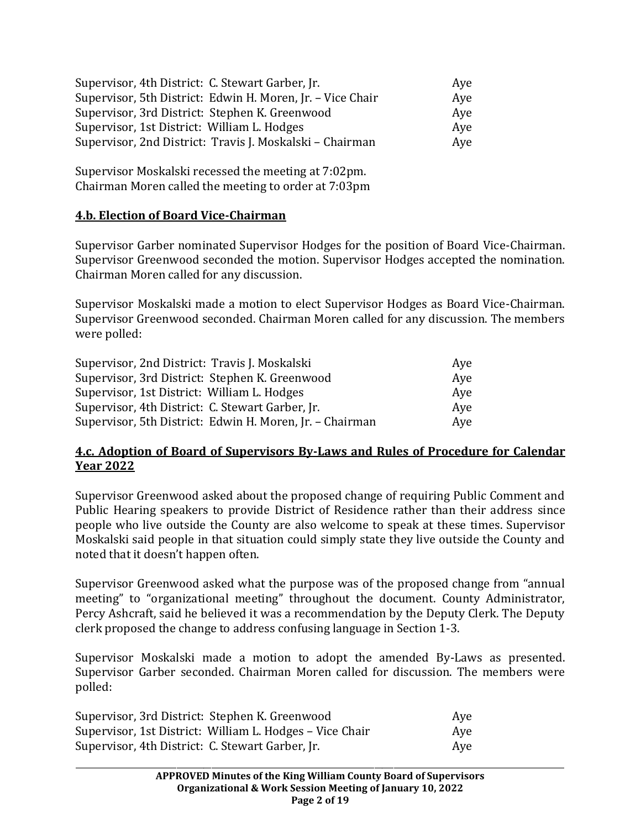| Supervisor, 4th District: C. Stewart Garber, Jr.           | Aye |
|------------------------------------------------------------|-----|
| Supervisor, 5th District: Edwin H. Moren, Jr. - Vice Chair | Aye |
| Supervisor, 3rd District: Stephen K. Greenwood             | Aye |
| Supervisor, 1st District: William L. Hodges                | Aye |
| Supervisor, 2nd District: Travis J. Moskalski – Chairman   | Aye |

Supervisor Moskalski recessed the meeting at 7:02pm. Chairman Moren called the meeting to order at 7:03pm

### **4.b. Election of Board Vice-Chairman**

Supervisor Garber nominated Supervisor Hodges for the position of Board Vice-Chairman. Supervisor Greenwood seconded the motion. Supervisor Hodges accepted the nomination. Chairman Moren called for any discussion.

Supervisor Moskalski made a motion to elect Supervisor Hodges as Board Vice-Chairman. Supervisor Greenwood seconded. Chairman Moren called for any discussion. The members were polled:

| Supervisor, 2nd District: Travis J. Moskalski            | Ave |
|----------------------------------------------------------|-----|
| Supervisor, 3rd District: Stephen K. Greenwood           | Aye |
| Supervisor, 1st District: William L. Hodges              | Aye |
| Supervisor, 4th District: C. Stewart Garber, Jr.         | Ave |
| Supervisor, 5th District: Edwin H. Moren, Jr. - Chairman | Aye |

### **4.c. Adoption of Board of Supervisors By-Laws and Rules of Procedure for Calendar Year 2022**

Supervisor Greenwood asked about the proposed change of requiring Public Comment and Public Hearing speakers to provide District of Residence rather than their address since people who live outside the County are also welcome to speak at these times. Supervisor Moskalski said people in that situation could simply state they live outside the County and noted that it doesn't happen often.

Supervisor Greenwood asked what the purpose was of the proposed change from "annual meeting" to "organizational meeting" throughout the document. County Administrator, Percy Ashcraft, said he believed it was a recommendation by the Deputy Clerk. The Deputy clerk proposed the change to address confusing language in Section 1-3.

Supervisor Moskalski made a motion to adopt the amended By-Laws as presented. Supervisor Garber seconded. Chairman Moren called for discussion. The members were polled:

| Supervisor, 3rd District: Stephen K. Greenwood           | Aye |
|----------------------------------------------------------|-----|
| Supervisor, 1st District: William L. Hodges - Vice Chair | Aye |
| Supervisor, 4th District: C. Stewart Garber, Jr.         | Ave |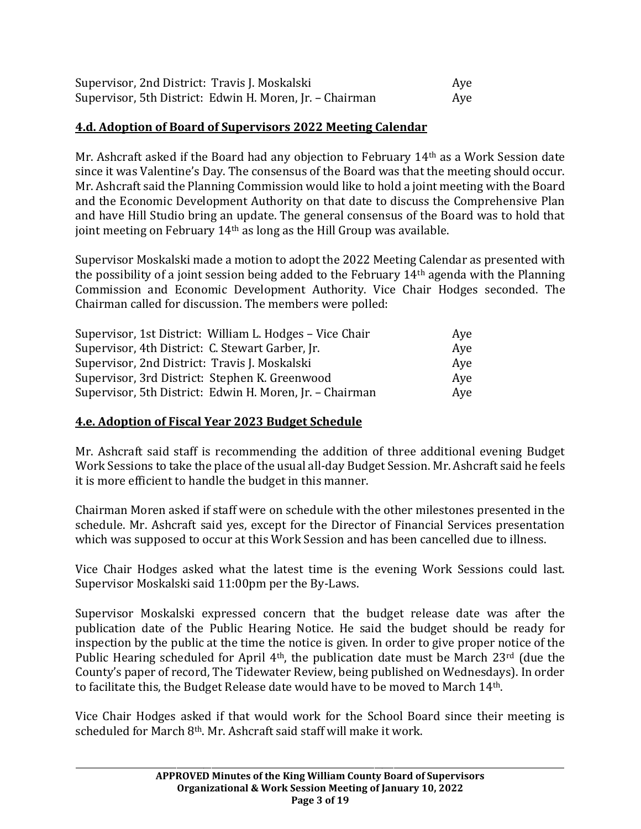| Supervisor, 2nd District: Travis J. Moskalski            | Aye |
|----------------------------------------------------------|-----|
| Supervisor, 5th District: Edwin H. Moren, Jr. - Chairman | Aye |

#### **4.d. Adoption of Board of Supervisors 2022 Meeting Calendar**

Mr. Ashcraft asked if the Board had any objection to February 14th as a Work Session date since it was Valentine's Day. The consensus of the Board was that the meeting should occur. Mr. Ashcraft said the Planning Commission would like to hold a joint meeting with the Board and the Economic Development Authority on that date to discuss the Comprehensive Plan and have Hill Studio bring an update. The general consensus of the Board was to hold that joint meeting on February 14th as long as the Hill Group was available.

Supervisor Moskalski made a motion to adopt the 2022 Meeting Calendar as presented with the possibility of a joint session being added to the February  $14<sup>th</sup>$  agenda with the Planning Commission and Economic Development Authority. Vice Chair Hodges seconded. The Chairman called for discussion. The members were polled:

| Supervisor, 1st District: William L. Hodges - Vice Chair | Aye |
|----------------------------------------------------------|-----|
| Supervisor, 4th District: C. Stewart Garber, Jr.         | Aye |
| Supervisor, 2nd District: Travis J. Moskalski            | Aye |
| Supervisor, 3rd District: Stephen K. Greenwood           | Aye |
| Supervisor, 5th District: Edwin H. Moren, Jr. - Chairman | Aye |

### **4.e. Adoption of Fiscal Year 2023 Budget Schedule**

Mr. Ashcraft said staff is recommending the addition of three additional evening Budget Work Sessions to take the place of the usual all-day Budget Session. Mr. Ashcraft said he feels it is more efficient to handle the budget in this manner.

Chairman Moren asked if staff were on schedule with the other milestones presented in the schedule. Mr. Ashcraft said yes, except for the Director of Financial Services presentation which was supposed to occur at this Work Session and has been cancelled due to illness.

Vice Chair Hodges asked what the latest time is the evening Work Sessions could last. Supervisor Moskalski said 11:00pm per the By-Laws.

Supervisor Moskalski expressed concern that the budget release date was after the publication date of the Public Hearing Notice. He said the budget should be ready for inspection by the public at the time the notice is given. In order to give proper notice of the Public Hearing scheduled for April 4<sup>th</sup>, the publication date must be March 23<sup>rd</sup> (due the County's paper of record, The Tidewater Review, being published on Wednesdays). In order to facilitate this, the Budget Release date would have to be moved to March 14th.

Vice Chair Hodges asked if that would work for the School Board since their meeting is scheduled for March 8th. Mr. Ashcraft said staff will make it work.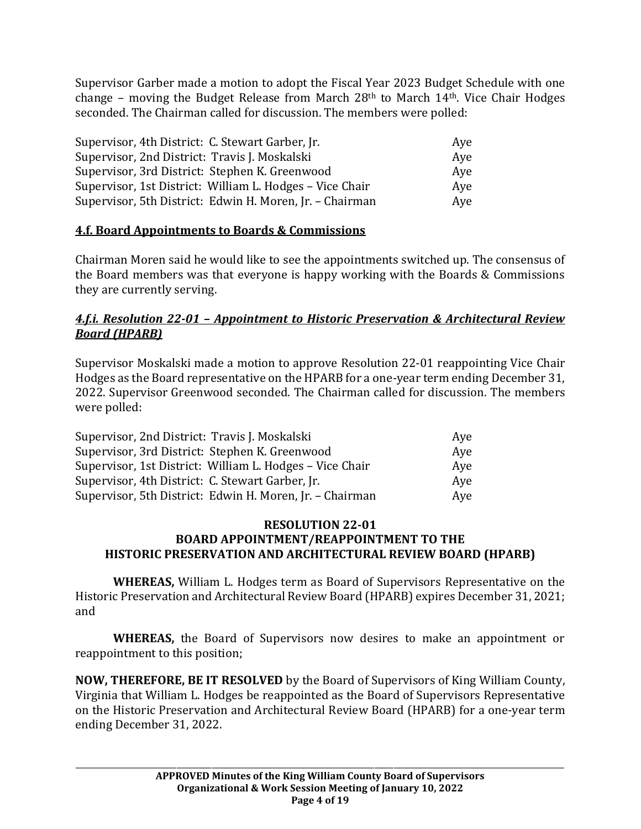Supervisor Garber made a motion to adopt the Fiscal Year 2023 Budget Schedule with one change – moving the Budget Release from March  $28<sup>th</sup>$  to March  $14<sup>th</sup>$ . Vice Chair Hodges seconded. The Chairman called for discussion. The members were polled:

| Supervisor, 4th District: C. Stewart Garber, Jr.         | Aye |
|----------------------------------------------------------|-----|
| Supervisor, 2nd District: Travis J. Moskalski            | Aye |
| Supervisor, 3rd District: Stephen K. Greenwood           | Aye |
| Supervisor, 1st District: William L. Hodges – Vice Chair | Aye |
| Supervisor, 5th District: Edwin H. Moren, Jr. - Chairman | Aye |

### **4.f. Board Appointments to Boards & Commissions**

Chairman Moren said he would like to see the appointments switched up. The consensus of the Board members was that everyone is happy working with the Boards & Commissions they are currently serving.

## *4.f.i. Resolution 22-01 – Appointment to Historic Preservation & Architectural Review Board (HPARB)*

Supervisor Moskalski made a motion to approve Resolution 22-01 reappointing Vice Chair Hodges as the Board representative on the HPARB for a one-year term ending December 31, 2022. Supervisor Greenwood seconded. The Chairman called for discussion. The members were polled:

| Supervisor, 2nd District: Travis J. Moskalski            | Aye |
|----------------------------------------------------------|-----|
| Supervisor, 3rd District: Stephen K. Greenwood           | Aye |
| Supervisor, 1st District: William L. Hodges – Vice Chair | Aye |
| Supervisor, 4th District: C. Stewart Garber, Jr.         | Aye |
| Supervisor, 5th District: Edwin H. Moren, Jr. - Chairman | Aye |

#### **RESOLUTION 22-01 BOARD APPOINTMENT/REAPPOINTMENT TO THE HISTORIC PRESERVATION AND ARCHITECTURAL REVIEW BOARD (HPARB)**

**WHEREAS,** William L. Hodges term as Board of Supervisors Representative on the Historic Preservation and Architectural Review Board (HPARB) expires December 31, 2021; and

**WHEREAS,** the Board of Supervisors now desires to make an appointment or reappointment to this position;

**NOW, THEREFORE, BE IT RESOLVED** by the Board of Supervisors of King William County, Virginia that William L. Hodges be reappointed as the Board of Supervisors Representative on the Historic Preservation and Architectural Review Board (HPARB) for a one-year term ending December 31, 2022.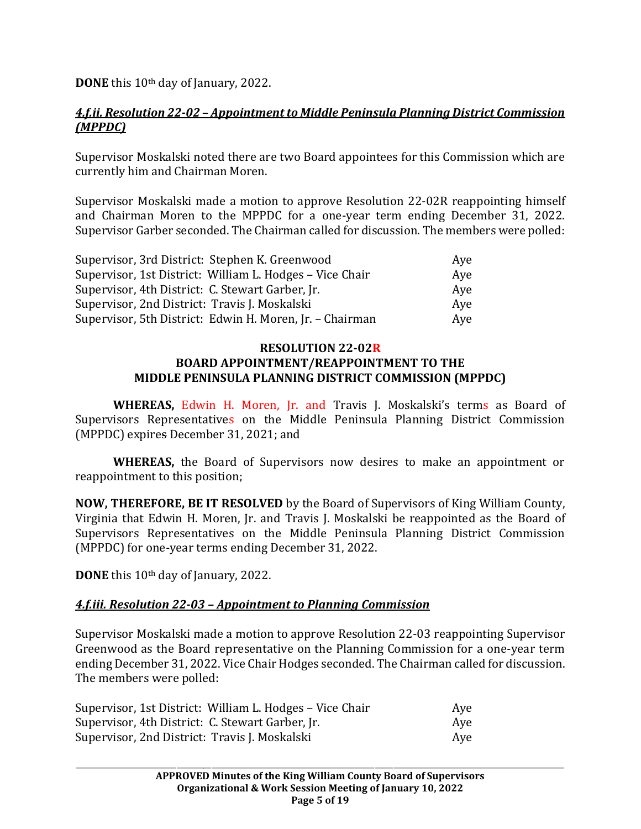**DONE** this 10<sup>th</sup> day of January, 2022.

## *4.f.ii. Resolution 22-02 – Appointment to Middle Peninsula Planning District Commission (MPPDC)*

Supervisor Moskalski noted there are two Board appointees for this Commission which are currently him and Chairman Moren.

Supervisor Moskalski made a motion to approve Resolution 22-02R reappointing himself and Chairman Moren to the MPPDC for a one-year term ending December 31, 2022. Supervisor Garber seconded. The Chairman called for discussion. The members were polled:

| Supervisor, 3rd District: Stephen K. Greenwood           | Aye |
|----------------------------------------------------------|-----|
| Supervisor, 1st District: William L. Hodges - Vice Chair | Aye |
| Supervisor, 4th District: C. Stewart Garber, Jr.         | Ave |
| Supervisor, 2nd District: Travis J. Moskalski            | Aye |
| Supervisor, 5th District: Edwin H. Moren, Jr. - Chairman | Aye |

### **RESOLUTION 22-02R BOARD APPOINTMENT/REAPPOINTMENT TO THE MIDDLE PENINSULA PLANNING DISTRICT COMMISSION (MPPDC)**

**WHEREAS,** Edwin H. Moren, Jr. and Travis J. Moskalski's terms as Board of Supervisors Representatives on the Middle Peninsula Planning District Commission (MPPDC) expires December 31, 2021; and

**WHEREAS,** the Board of Supervisors now desires to make an appointment or reappointment to this position;

**NOW, THEREFORE, BE IT RESOLVED** by the Board of Supervisors of King William County, Virginia that Edwin H. Moren, Jr. and Travis J. Moskalski be reappointed as the Board of Supervisors Representatives on the Middle Peninsula Planning District Commission (MPPDC) for one-year terms ending December 31, 2022.

**DONE** this 10th day of January, 2022.

# *4.f.iii. Resolution 22-03 – Appointment to Planning Commission*

Supervisor Moskalski made a motion to approve Resolution 22-03 reappointing Supervisor Greenwood as the Board representative on the Planning Commission for a one-year term ending December 31, 2022. Vice Chair Hodges seconded. The Chairman called for discussion. The members were polled:

| Supervisor, 1st District: William L. Hodges – Vice Chair | Aye |
|----------------------------------------------------------|-----|
| Supervisor, 4th District: C. Stewart Garber, Jr.         | Aye |
| Supervisor, 2nd District: Travis J. Moskalski            | Ave |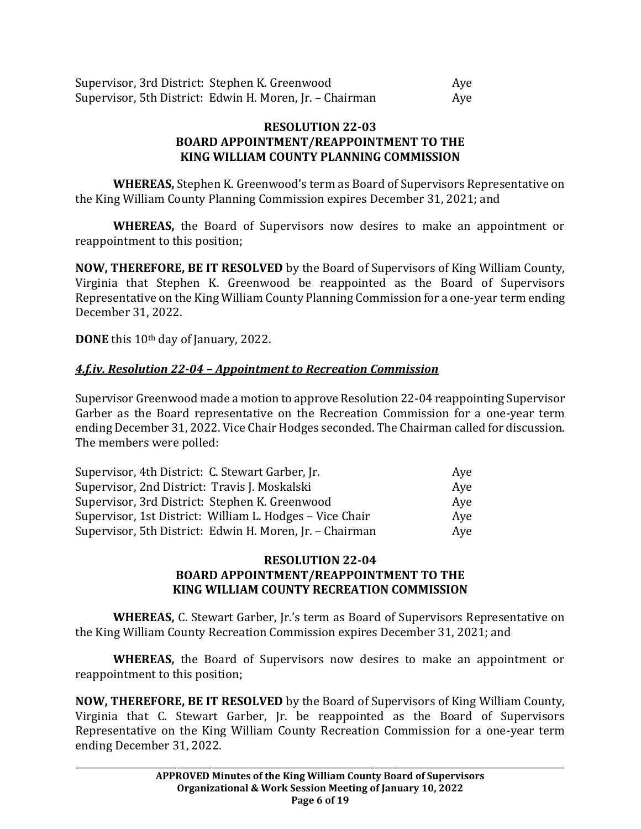#### **RESOLUTION 22-03 BOARD APPOINTMENT/REAPPOINTMENT TO THE KING WILLIAM COUNTY PLANNING COMMISSION**

**WHEREAS,** Stephen K. Greenwood's term as Board of Supervisors Representative on the King William County Planning Commission expires December 31, 2021; and

**WHEREAS,** the Board of Supervisors now desires to make an appointment or reappointment to this position;

**NOW, THEREFORE, BE IT RESOLVED** by the Board of Supervisors of King William County, Virginia that Stephen K. Greenwood be reappointed as the Board of Supervisors Representative on the King William County Planning Commission for a one-year term ending December 31, 2022.

**DONE** this 10th day of January, 2022.

# *4.f.iv. Resolution 22-04 – Appointment to Recreation Commission*

Supervisor Greenwood made a motion to approve Resolution 22-04 reappointing Supervisor Garber as the Board representative on the Recreation Commission for a one-year term ending December 31, 2022. Vice Chair Hodges seconded. The Chairman called for discussion. The members were polled:

| Supervisor, 4th District: C. Stewart Garber, Jr.         | Ave |
|----------------------------------------------------------|-----|
| Supervisor, 2nd District: Travis J. Moskalski            | Aye |
| Supervisor, 3rd District: Stephen K. Greenwood           | Ave |
| Supervisor, 1st District: William L. Hodges – Vice Chair | Ave |
| Supervisor, 5th District: Edwin H. Moren, Jr. - Chairman | Aye |

### **RESOLUTION 22-04 BOARD APPOINTMENT/REAPPOINTMENT TO THE KING WILLIAM COUNTY RECREATION COMMISSION**

**WHEREAS,** C. Stewart Garber, Jr.'s term as Board of Supervisors Representative on the King William County Recreation Commission expires December 31, 2021; and

**WHEREAS,** the Board of Supervisors now desires to make an appointment or reappointment to this position;

**NOW, THEREFORE, BE IT RESOLVED** by the Board of Supervisors of King William County, Virginia that C. Stewart Garber, Jr. be reappointed as the Board of Supervisors Representative on the King William County Recreation Commission for a one-year term ending December 31, 2022.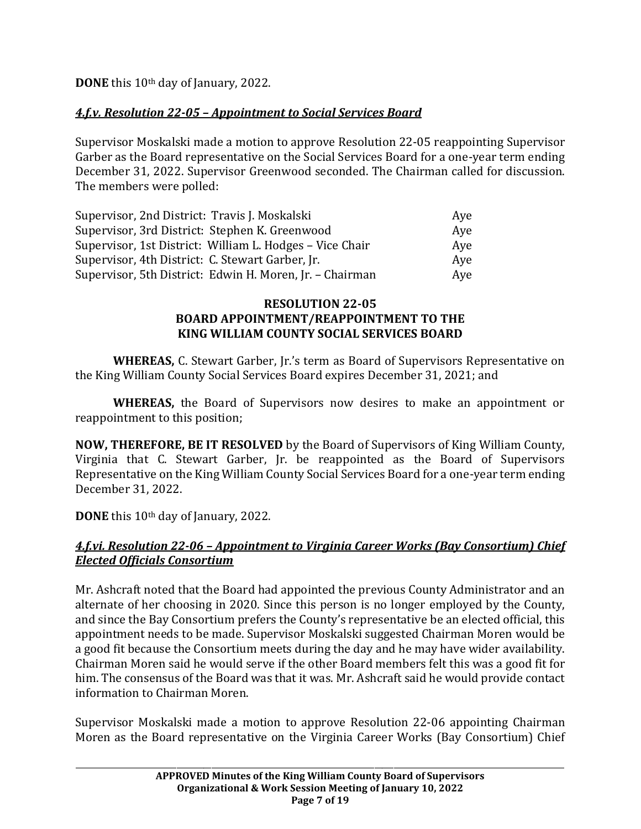**DONE** this 10<sup>th</sup> day of January, 2022.

# *4.f.v. Resolution 22-05 – Appointment to Social Services Board*

Supervisor Moskalski made a motion to approve Resolution 22-05 reappointing Supervisor Garber as the Board representative on the Social Services Board for a one-year term ending December 31, 2022. Supervisor Greenwood seconded. The Chairman called for discussion. The members were polled:

| Supervisor, 2nd District: Travis J. Moskalski            | Ave |
|----------------------------------------------------------|-----|
| Supervisor, 3rd District: Stephen K. Greenwood           | Aye |
| Supervisor, 1st District: William L. Hodges – Vice Chair | Ave |
| Supervisor, 4th District: C. Stewart Garber, Jr.         | Aye |
| Supervisor, 5th District: Edwin H. Moren, Jr. - Chairman | Aye |

### **RESOLUTION 22-05 BOARD APPOINTMENT/REAPPOINTMENT TO THE KING WILLIAM COUNTY SOCIAL SERVICES BOARD**

**WHEREAS,** C. Stewart Garber, Jr.'s term as Board of Supervisors Representative on the King William County Social Services Board expires December 31, 2021; and

**WHEREAS,** the Board of Supervisors now desires to make an appointment or reappointment to this position;

**NOW, THEREFORE, BE IT RESOLVED** by the Board of Supervisors of King William County, Virginia that C. Stewart Garber, Jr. be reappointed as the Board of Supervisors Representative on the King William County Social Services Board for a one-year term ending December 31, 2022.

**DONE** this 10<sup>th</sup> day of January, 2022.

## *4.f.vi. Resolution 22-06 – Appointment to Virginia Career Works (Bay Consortium) Chief Elected Officials Consortium*

Mr. Ashcraft noted that the Board had appointed the previous County Administrator and an alternate of her choosing in 2020. Since this person is no longer employed by the County, and since the Bay Consortium prefers the County's representative be an elected official, this appointment needs to be made. Supervisor Moskalski suggested Chairman Moren would be a good fit because the Consortium meets during the day and he may have wider availability. Chairman Moren said he would serve if the other Board members felt this was a good fit for him. The consensus of the Board was that it was. Mr. Ashcraft said he would provide contact information to Chairman Moren.

Supervisor Moskalski made a motion to approve Resolution 22-06 appointing Chairman Moren as the Board representative on the Virginia Career Works (Bay Consortium) Chief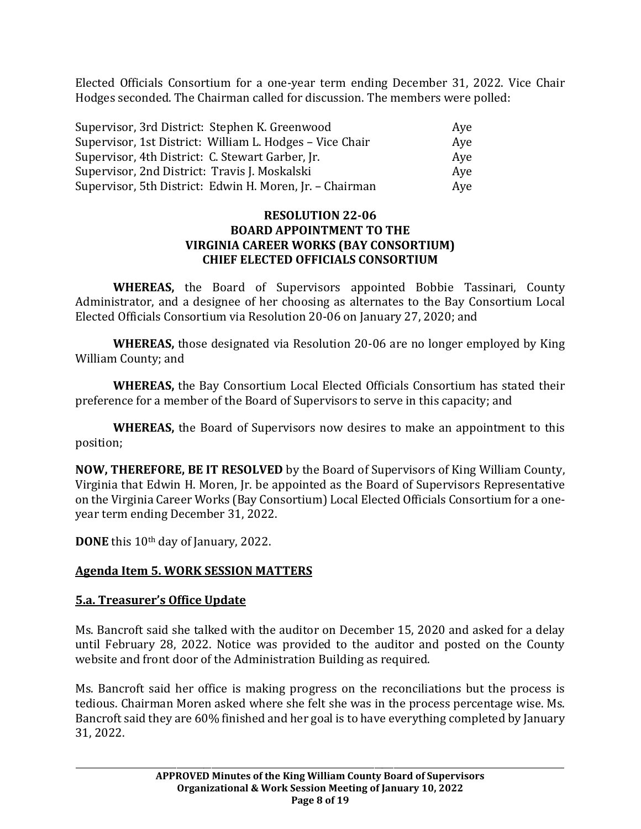Elected Officials Consortium for a one-year term ending December 31, 2022. Vice Chair Hodges seconded. The Chairman called for discussion. The members were polled:

| Supervisor, 3rd District: Stephen K. Greenwood           | Aye |
|----------------------------------------------------------|-----|
| Supervisor, 1st District: William L. Hodges - Vice Chair | Aye |
| Supervisor, 4th District: C. Stewart Garber, Jr.         | Ave |
| Supervisor, 2nd District: Travis J. Moskalski            | Ave |
| Supervisor, 5th District: Edwin H. Moren, Jr. - Chairman | Aye |

#### **RESOLUTION 22-06 BOARD APPOINTMENT TO THE VIRGINIA CAREER WORKS (BAY CONSORTIUM) CHIEF ELECTED OFFICIALS CONSORTIUM**

**WHEREAS,** the Board of Supervisors appointed Bobbie Tassinari, County Administrator, and a designee of her choosing as alternates to the Bay Consortium Local Elected Officials Consortium via Resolution 20-06 on January 27, 2020; and

**WHEREAS,** those designated via Resolution 20-06 are no longer employed by King William County; and

**WHEREAS,** the Bay Consortium Local Elected Officials Consortium has stated their preference for a member of the Board of Supervisors to serve in this capacity; and

**WHEREAS,** the Board of Supervisors now desires to make an appointment to this position;

**NOW, THEREFORE, BE IT RESOLVED** by the Board of Supervisors of King William County, Virginia that Edwin H. Moren, Jr. be appointed as the Board of Supervisors Representative on the Virginia Career Works (Bay Consortium) Local Elected Officials Consortium for a oneyear term ending December 31, 2022.

**DONE** this 10th day of January, 2022.

# **Agenda Item 5. WORK SESSION MATTERS**

### **5.a. Treasurer's Office Update**

Ms. Bancroft said she talked with the auditor on December 15, 2020 and asked for a delay until February 28, 2022. Notice was provided to the auditor and posted on the County website and front door of the Administration Building as required.

Ms. Bancroft said her office is making progress on the reconciliations but the process is tedious. Chairman Moren asked where she felt she was in the process percentage wise. Ms. Bancroft said they are 60% finished and her goal is to have everything completed by January 31, 2022.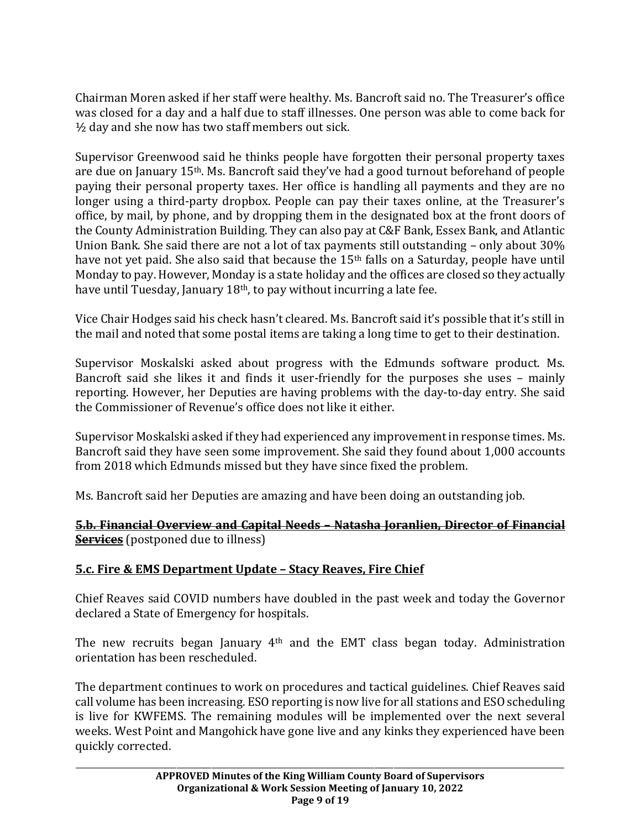Chairman Moren asked if her staff were healthy. Ms. Bancroft said no. The Treasurer's office was closed for a day and a half due to staff illnesses. One person was able to come back for  $\frac{1}{2}$  day and she now has two staff members out sick.

Supervisor Greenwood said he thinks people have forgotten their personal property taxes are due on January 15th. Ms. Bancroft said they've had a good turnout beforehand of people paying their personal property taxes. Her office is handling all payments and they are no longer using a third-party dropbox. People can pay their taxes online, at the Treasurer's office, by mail, by phone, and by dropping them in the designated box at the front doors of the County Administration Building. They can also pay at C&F Bank, Essex Bank, and Atlantic Union Bank. She said there are not a lot of tax payments still outstanding – only about 30% have not yet paid. She also said that because the 15<sup>th</sup> falls on a Saturday, people have until Monday to pay. However, Monday is a state holiday and the offices are closed so they actually have until Tuesday, January 18<sup>th</sup>, to pay without incurring a late fee.

Vice Chair Hodges said his check hasn't cleared. Ms. Bancroft said it's possible that it's still in the mail and noted that some postal items are taking a long time to get to their destination.

Supervisor Moskalski asked about progress with the Edmunds software product. Ms. Bancroft said she likes it and finds it user-friendly for the purposes she uses – mainly reporting. However, her Deputies are having problems with the day-to-day entry. She said the Commissioner of Revenue's office does not like it either.

Supervisor Moskalski asked if they had experienced any improvement in response times. Ms. Bancroft said they have seen some improvement. She said they found about 1,000 accounts from 2018 which Edmunds missed but they have since fixed the problem.

Ms. Bancroft said her Deputies are amazing and have been doing an outstanding job.

### **5.b. Financial Overview and Capital Needs – Natasha Joranlien, Director of Financial Services** (postponed due to illness)

# **5.c. Fire & EMS Department Update – Stacy Reaves, Fire Chief**

Chief Reaves said COVID numbers have doubled in the past week and today the Governor declared a State of Emergency for hospitals.

The new recruits began January 4th and the EMT class began today. Administration orientation has been rescheduled.

The department continues to work on procedures and tactical guidelines. Chief Reaves said call volume has been increasing. ESO reporting is now live for all stations and ESO scheduling is live for KWFEMS. The remaining modules will be implemented over the next several weeks. West Point and Mangohick have gone live and any kinks they experienced have been quickly corrected.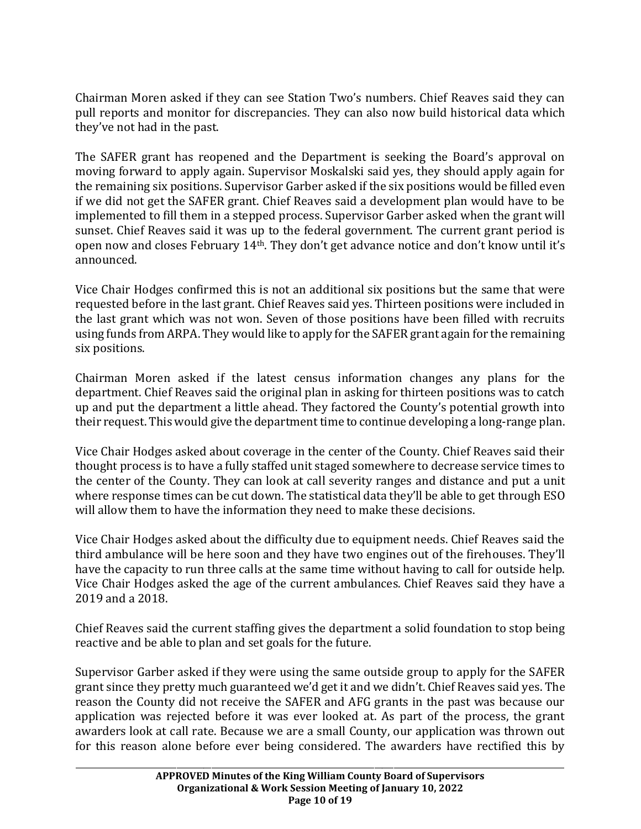Chairman Moren asked if they can see Station Two's numbers. Chief Reaves said they can pull reports and monitor for discrepancies. They can also now build historical data which they've not had in the past.

The SAFER grant has reopened and the Department is seeking the Board's approval on moving forward to apply again. Supervisor Moskalski said yes, they should apply again for the remaining six positions. Supervisor Garber asked if the six positions would be filled even if we did not get the SAFER grant. Chief Reaves said a development plan would have to be implemented to fill them in a stepped process. Supervisor Garber asked when the grant will sunset. Chief Reaves said it was up to the federal government. The current grant period is open now and closes February 14th. They don't get advance notice and don't know until it's announced.

Vice Chair Hodges confirmed this is not an additional six positions but the same that were requested before in the last grant. Chief Reaves said yes. Thirteen positions were included in the last grant which was not won. Seven of those positions have been filled with recruits using funds from ARPA. They would like to apply for the SAFER grant again for the remaining six positions.

Chairman Moren asked if the latest census information changes any plans for the department. Chief Reaves said the original plan in asking for thirteen positions was to catch up and put the department a little ahead. They factored the County's potential growth into their request. This would give the department time to continue developing a long-range plan.

Vice Chair Hodges asked about coverage in the center of the County. Chief Reaves said their thought process is to have a fully staffed unit staged somewhere to decrease service times to the center of the County. They can look at call severity ranges and distance and put a unit where response times can be cut down. The statistical data they'll be able to get through ESO will allow them to have the information they need to make these decisions.

Vice Chair Hodges asked about the difficulty due to equipment needs. Chief Reaves said the third ambulance will be here soon and they have two engines out of the firehouses. They'll have the capacity to run three calls at the same time without having to call for outside help. Vice Chair Hodges asked the age of the current ambulances. Chief Reaves said they have a 2019 and a 2018.

Chief Reaves said the current staffing gives the department a solid foundation to stop being reactive and be able to plan and set goals for the future.

Supervisor Garber asked if they were using the same outside group to apply for the SAFER grant since they pretty much guaranteed we'd get it and we didn't. Chief Reaves said yes. The reason the County did not receive the SAFER and AFG grants in the past was because our application was rejected before it was ever looked at. As part of the process, the grant awarders look at call rate. Because we are a small County, our application was thrown out for this reason alone before ever being considered. The awarders have rectified this by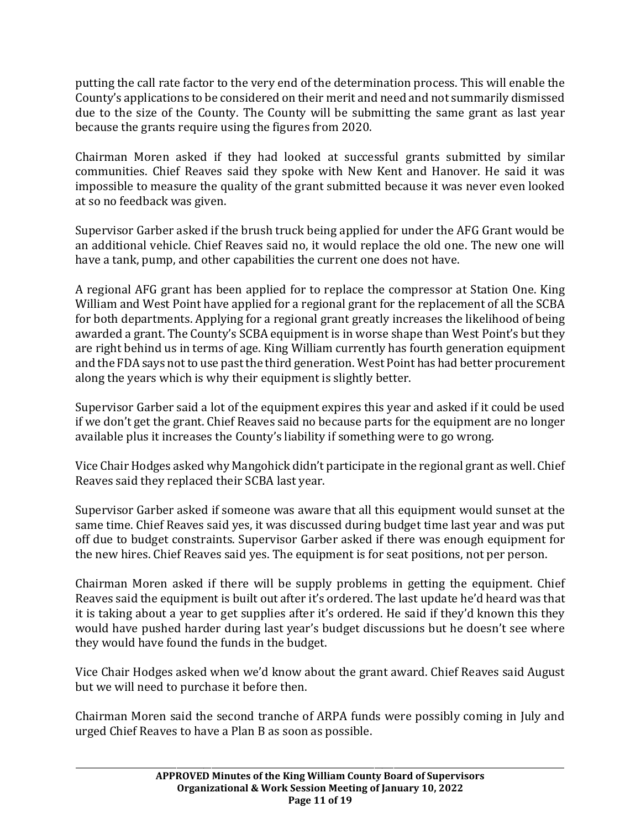putting the call rate factor to the very end of the determination process. This will enable the County's applications to be considered on their merit and need and not summarily dismissed due to the size of the County. The County will be submitting the same grant as last year because the grants require using the figures from 2020.

Chairman Moren asked if they had looked at successful grants submitted by similar communities. Chief Reaves said they spoke with New Kent and Hanover. He said it was impossible to measure the quality of the grant submitted because it was never even looked at so no feedback was given.

Supervisor Garber asked if the brush truck being applied for under the AFG Grant would be an additional vehicle. Chief Reaves said no, it would replace the old one. The new one will have a tank, pump, and other capabilities the current one does not have.

A regional AFG grant has been applied for to replace the compressor at Station One. King William and West Point have applied for a regional grant for the replacement of all the SCBA for both departments. Applying for a regional grant greatly increases the likelihood of being awarded a grant. The County's SCBA equipment is in worse shape than West Point's but they are right behind us in terms of age. King William currently has fourth generation equipment and the FDA says not to use past the third generation. West Point has had better procurement along the years which is why their equipment is slightly better.

Supervisor Garber said a lot of the equipment expires this year and asked if it could be used if we don't get the grant. Chief Reaves said no because parts for the equipment are no longer available plus it increases the County's liability if something were to go wrong.

Vice Chair Hodges asked why Mangohick didn't participate in the regional grant as well. Chief Reaves said they replaced their SCBA last year.

Supervisor Garber asked if someone was aware that all this equipment would sunset at the same time. Chief Reaves said yes, it was discussed during budget time last year and was put off due to budget constraints. Supervisor Garber asked if there was enough equipment for the new hires. Chief Reaves said yes. The equipment is for seat positions, not per person.

Chairman Moren asked if there will be supply problems in getting the equipment. Chief Reaves said the equipment is built out after it's ordered. The last update he'd heard was that it is taking about a year to get supplies after it's ordered. He said if they'd known this they would have pushed harder during last year's budget discussions but he doesn't see where they would have found the funds in the budget.

Vice Chair Hodges asked when we'd know about the grant award. Chief Reaves said August but we will need to purchase it before then.

Chairman Moren said the second tranche of ARPA funds were possibly coming in July and urged Chief Reaves to have a Plan B as soon as possible.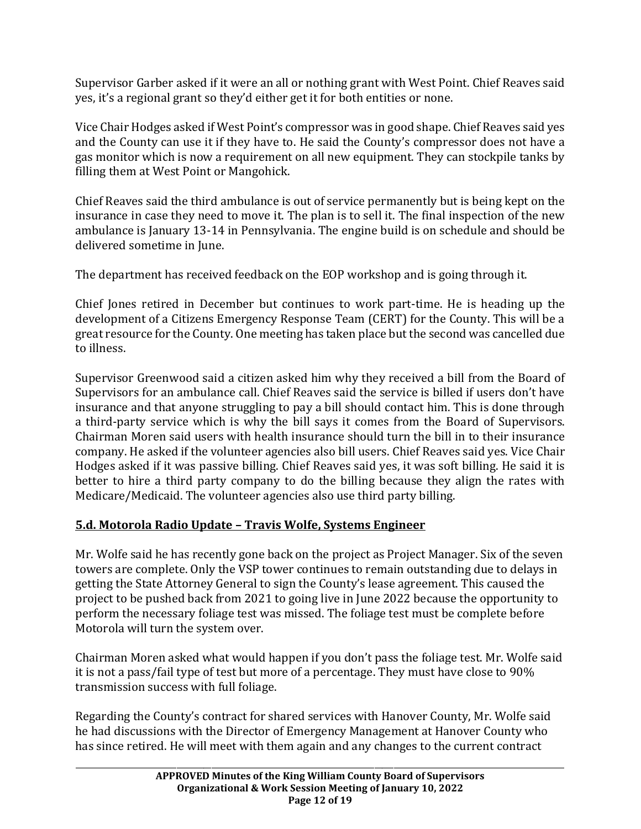Supervisor Garber asked if it were an all or nothing grant with West Point. Chief Reaves said yes, it's a regional grant so they'd either get it for both entities or none.

Vice Chair Hodges asked if West Point's compressor was in good shape. Chief Reaves said yes and the County can use it if they have to. He said the County's compressor does not have a gas monitor which is now a requirement on all new equipment. They can stockpile tanks by filling them at West Point or Mangohick.

Chief Reaves said the third ambulance is out of service permanently but is being kept on the insurance in case they need to move it. The plan is to sell it. The final inspection of the new ambulance is January 13-14 in Pennsylvania. The engine build is on schedule and should be delivered sometime in June.

The department has received feedback on the EOP workshop and is going through it.

Chief Jones retired in December but continues to work part-time. He is heading up the development of a Citizens Emergency Response Team (CERT) for the County. This will be a great resource for the County. One meeting has taken place but the second was cancelled due to illness.

Supervisor Greenwood said a citizen asked him why they received a bill from the Board of Supervisors for an ambulance call. Chief Reaves said the service is billed if users don't have insurance and that anyone struggling to pay a bill should contact him. This is done through a third-party service which is why the bill says it comes from the Board of Supervisors. Chairman Moren said users with health insurance should turn the bill in to their insurance company. He asked if the volunteer agencies also bill users. Chief Reaves said yes. Vice Chair Hodges asked if it was passive billing. Chief Reaves said yes, it was soft billing. He said it is better to hire a third party company to do the billing because they align the rates with Medicare/Medicaid. The volunteer agencies also use third party billing.

# **5.d. Motorola Radio Update – Travis Wolfe, Systems Engineer**

Mr. Wolfe said he has recently gone back on the project as Project Manager. Six of the seven towers are complete. Only the VSP tower continues to remain outstanding due to delays in getting the State Attorney General to sign the County's lease agreement. This caused the project to be pushed back from 2021 to going live in June 2022 because the opportunity to perform the necessary foliage test was missed. The foliage test must be complete before Motorola will turn the system over.

Chairman Moren asked what would happen if you don't pass the foliage test. Mr. Wolfe said it is not a pass/fail type of test but more of a percentage. They must have close to 90% transmission success with full foliage.

Regarding the County's contract for shared services with Hanover County, Mr. Wolfe said he had discussions with the Director of Emergency Management at Hanover County who has since retired. He will meet with them again and any changes to the current contract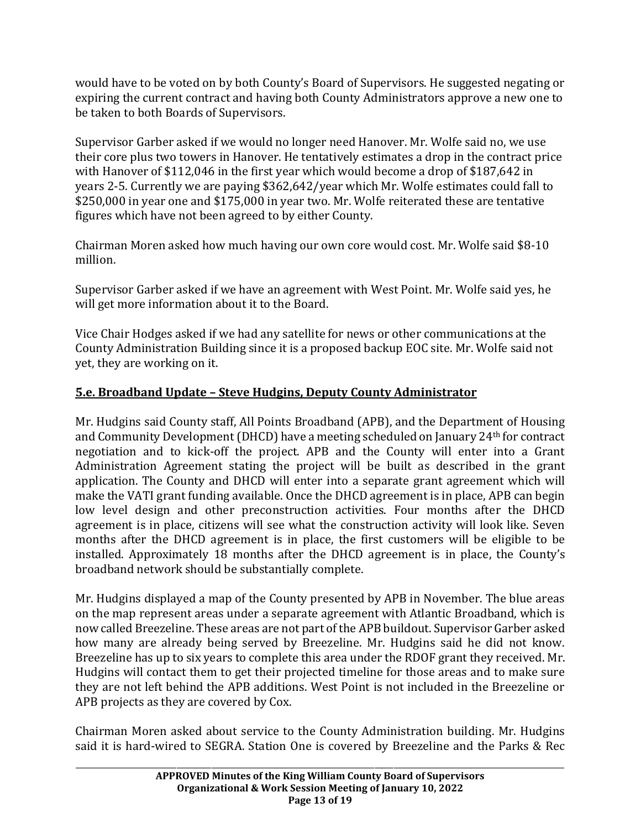would have to be voted on by both County's Board of Supervisors. He suggested negating or expiring the current contract and having both County Administrators approve a new one to be taken to both Boards of Supervisors.

Supervisor Garber asked if we would no longer need Hanover. Mr. Wolfe said no, we use their core plus two towers in Hanover. He tentatively estimates a drop in the contract price with Hanover of \$112,046 in the first year which would become a drop of \$187,642 in years 2-5. Currently we are paying \$362,642/year which Mr. Wolfe estimates could fall to \$250,000 in year one and \$175,000 in year two. Mr. Wolfe reiterated these are tentative figures which have not been agreed to by either County.

Chairman Moren asked how much having our own core would cost. Mr. Wolfe said \$8-10 million.

Supervisor Garber asked if we have an agreement with West Point. Mr. Wolfe said yes, he will get more information about it to the Board.

Vice Chair Hodges asked if we had any satellite for news or other communications at the County Administration Building since it is a proposed backup EOC site. Mr. Wolfe said not yet, they are working on it.

# **5.e. Broadband Update – Steve Hudgins, Deputy County Administrator**

Mr. Hudgins said County staff, All Points Broadband (APB), and the Department of Housing and Community Development (DHCD) have a meeting scheduled on January 24th for contract negotiation and to kick-off the project. APB and the County will enter into a Grant Administration Agreement stating the project will be built as described in the grant application. The County and DHCD will enter into a separate grant agreement which will make the VATI grant funding available. Once the DHCD agreement is in place, APB can begin low level design and other preconstruction activities. Four months after the DHCD agreement is in place, citizens will see what the construction activity will look like. Seven months after the DHCD agreement is in place, the first customers will be eligible to be installed. Approximately 18 months after the DHCD agreement is in place, the County's broadband network should be substantially complete.

Mr. Hudgins displayed a map of the County presented by APB in November. The blue areas on the map represent areas under a separate agreement with Atlantic Broadband, which is now called Breezeline. These areas are not part of the APB buildout. Supervisor Garber asked how many are already being served by Breezeline. Mr. Hudgins said he did not know. Breezeline has up to six years to complete this area under the RDOF grant they received. Mr. Hudgins will contact them to get their projected timeline for those areas and to make sure they are not left behind the APB additions. West Point is not included in the Breezeline or APB projects as they are covered by Cox.

Chairman Moren asked about service to the County Administration building. Mr. Hudgins said it is hard-wired to SEGRA. Station One is covered by Breezeline and the Parks & Rec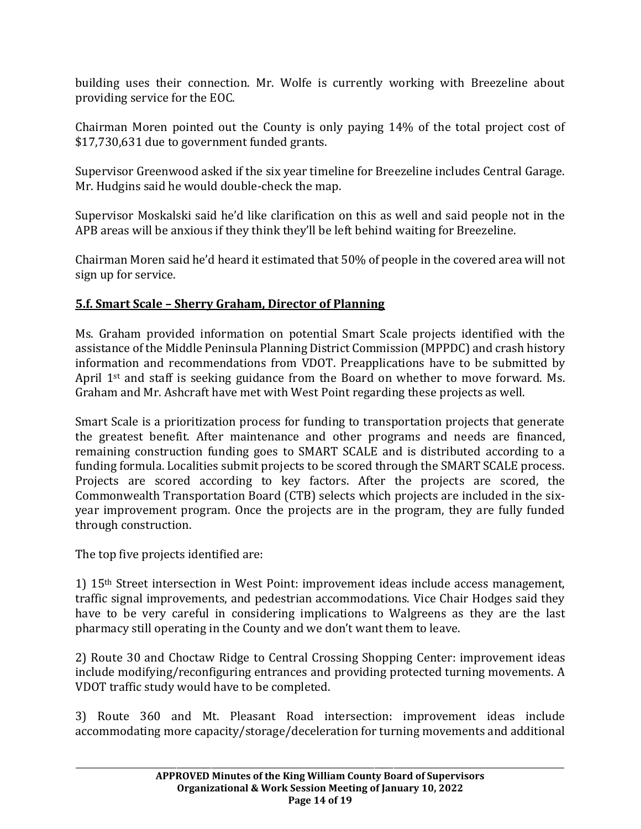building uses their connection. Mr. Wolfe is currently working with Breezeline about providing service for the EOC.

Chairman Moren pointed out the County is only paying 14% of the total project cost of \$17,730,631 due to government funded grants.

Supervisor Greenwood asked if the six year timeline for Breezeline includes Central Garage. Mr. Hudgins said he would double-check the map.

Supervisor Moskalski said he'd like clarification on this as well and said people not in the APB areas will be anxious if they think they'll be left behind waiting for Breezeline.

Chairman Moren said he'd heard it estimated that 50% of people in the covered area will not sign up for service.

# **5.f. Smart Scale – Sherry Graham, Director of Planning**

Ms. Graham provided information on potential Smart Scale projects identified with the assistance of the Middle Peninsula Planning District Commission (MPPDC) and crash history information and recommendations from VDOT. Preapplications have to be submitted by April 1st and staff is seeking guidance from the Board on whether to move forward. Ms. Graham and Mr. Ashcraft have met with West Point regarding these projects as well.

Smart Scale is a prioritization process for funding to transportation projects that generate the greatest benefit. After maintenance and other programs and needs are financed, remaining construction funding goes to SMART SCALE and is distributed according to a funding formula. Localities submit projects to be scored through the SMART SCALE process. Projects are scored according to key factors. After the projects are scored, the Commonwealth Transportation Board (CTB) selects which projects are included in the sixyear improvement program. Once the projects are in the program, they are fully funded through construction.

The top five projects identified are:

1) 15th Street intersection in West Point: improvement ideas include access management, traffic signal improvements, and pedestrian accommodations. Vice Chair Hodges said they have to be very careful in considering implications to Walgreens as they are the last pharmacy still operating in the County and we don't want them to leave.

2) Route 30 and Choctaw Ridge to Central Crossing Shopping Center: improvement ideas include modifying/reconfiguring entrances and providing protected turning movements. A VDOT traffic study would have to be completed.

3) Route 360 and Mt. Pleasant Road intersection: improvement ideas include accommodating more capacity/storage/deceleration for turning movements and additional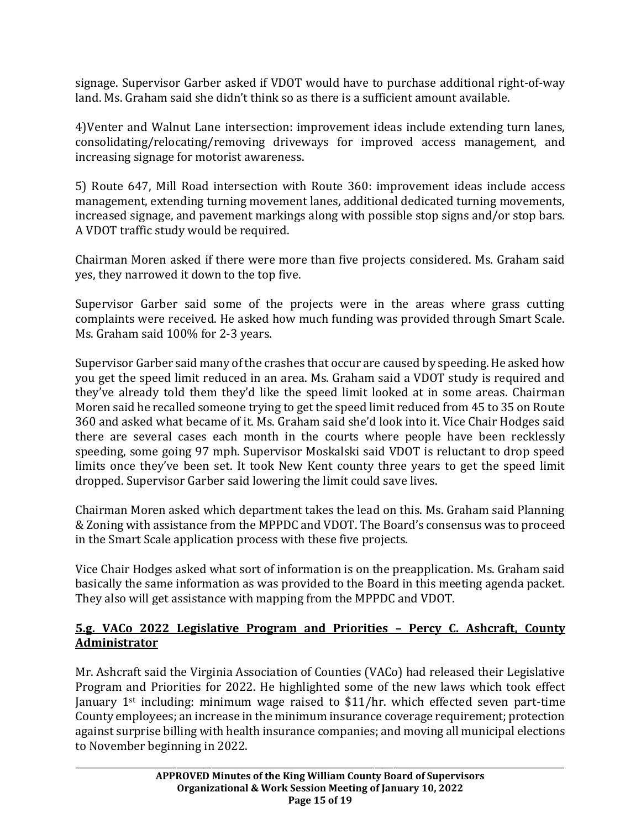signage. Supervisor Garber asked if VDOT would have to purchase additional right-of-way land. Ms. Graham said she didn't think so as there is a sufficient amount available.

4)Venter and Walnut Lane intersection: improvement ideas include extending turn lanes, consolidating/relocating/removing driveways for improved access management, and increasing signage for motorist awareness.

5) Route 647, Mill Road intersection with Route 360: improvement ideas include access management, extending turning movement lanes, additional dedicated turning movements, increased signage, and pavement markings along with possible stop signs and/or stop bars. A VDOT traffic study would be required.

Chairman Moren asked if there were more than five projects considered. Ms. Graham said yes, they narrowed it down to the top five.

Supervisor Garber said some of the projects were in the areas where grass cutting complaints were received. He asked how much funding was provided through Smart Scale. Ms. Graham said 100% for 2-3 years.

Supervisor Garber said many of the crashes that occur are caused by speeding. He asked how you get the speed limit reduced in an area. Ms. Graham said a VDOT study is required and they've already told them they'd like the speed limit looked at in some areas. Chairman Moren said he recalled someone trying to get the speed limit reduced from 45 to 35 on Route 360 and asked what became of it. Ms. Graham said she'd look into it. Vice Chair Hodges said there are several cases each month in the courts where people have been recklessly speeding, some going 97 mph. Supervisor Moskalski said VDOT is reluctant to drop speed limits once they've been set. It took New Kent county three years to get the speed limit dropped. Supervisor Garber said lowering the limit could save lives.

Chairman Moren asked which department takes the lead on this. Ms. Graham said Planning & Zoning with assistance from the MPPDC and VDOT. The Board's consensus was to proceed in the Smart Scale application process with these five projects.

Vice Chair Hodges asked what sort of information is on the preapplication. Ms. Graham said basically the same information as was provided to the Board in this meeting agenda packet. They also will get assistance with mapping from the MPPDC and VDOT.

# **5.g. VACo 2022 Legislative Program and Priorities – Percy C. Ashcraft, County Administrator**

Mr. Ashcraft said the Virginia Association of Counties (VACo) had released their Legislative Program and Priorities for 2022. He highlighted some of the new laws which took effect January 1st including: minimum wage raised to \$11/hr. which effected seven part-time County employees; an increase in the minimum insurance coverage requirement; protection against surprise billing with health insurance companies; and moving all municipal elections to November beginning in 2022.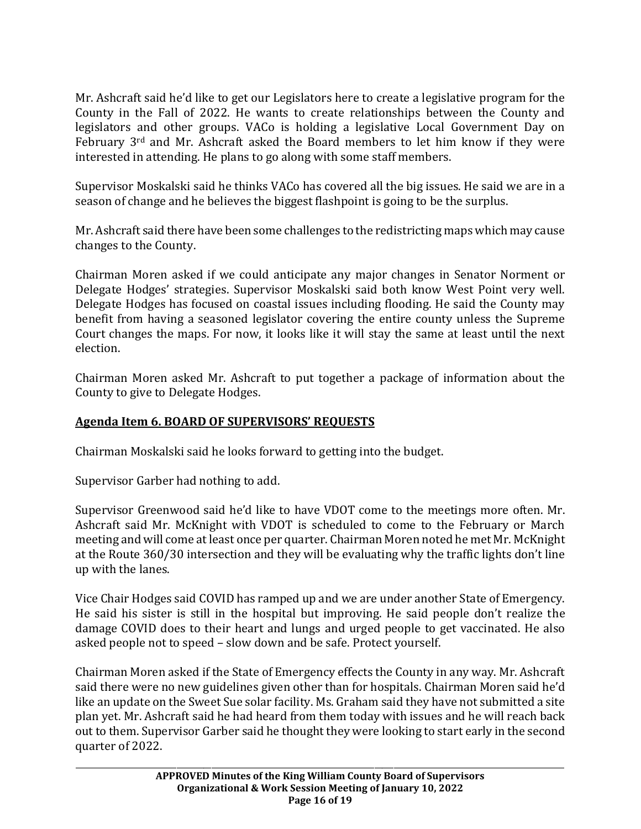Mr. Ashcraft said he'd like to get our Legislators here to create a legislative program for the County in the Fall of 2022. He wants to create relationships between the County and legislators and other groups. VACo is holding a legislative Local Government Day on February 3rd and Mr. Ashcraft asked the Board members to let him know if they were interested in attending. He plans to go along with some staff members.

Supervisor Moskalski said he thinks VACo has covered all the big issues. He said we are in a season of change and he believes the biggest flashpoint is going to be the surplus.

Mr. Ashcraft said there have been some challenges to the redistricting maps which may cause changes to the County.

Chairman Moren asked if we could anticipate any major changes in Senator Norment or Delegate Hodges' strategies. Supervisor Moskalski said both know West Point very well. Delegate Hodges has focused on coastal issues including flooding. He said the County may benefit from having a seasoned legislator covering the entire county unless the Supreme Court changes the maps. For now, it looks like it will stay the same at least until the next election.

Chairman Moren asked Mr. Ashcraft to put together a package of information about the County to give to Delegate Hodges.

# **Agenda Item 6. BOARD OF SUPERVISORS' REQUESTS**

Chairman Moskalski said he looks forward to getting into the budget.

Supervisor Garber had nothing to add.

Supervisor Greenwood said he'd like to have VDOT come to the meetings more often. Mr. Ashcraft said Mr. McKnight with VDOT is scheduled to come to the February or March meeting and will come at least once per quarter. Chairman Moren noted he met Mr. McKnight at the Route 360/30 intersection and they will be evaluating why the traffic lights don't line up with the lanes.

Vice Chair Hodges said COVID has ramped up and we are under another State of Emergency. He said his sister is still in the hospital but improving. He said people don't realize the damage COVID does to their heart and lungs and urged people to get vaccinated. He also asked people not to speed – slow down and be safe. Protect yourself.

Chairman Moren asked if the State of Emergency effects the County in any way. Mr. Ashcraft said there were no new guidelines given other than for hospitals. Chairman Moren said he'd like an update on the Sweet Sue solar facility. Ms. Graham said they have not submitted a site plan yet. Mr. Ashcraft said he had heard from them today with issues and he will reach back out to them. Supervisor Garber said he thought they were looking to start early in the second quarter of 2022.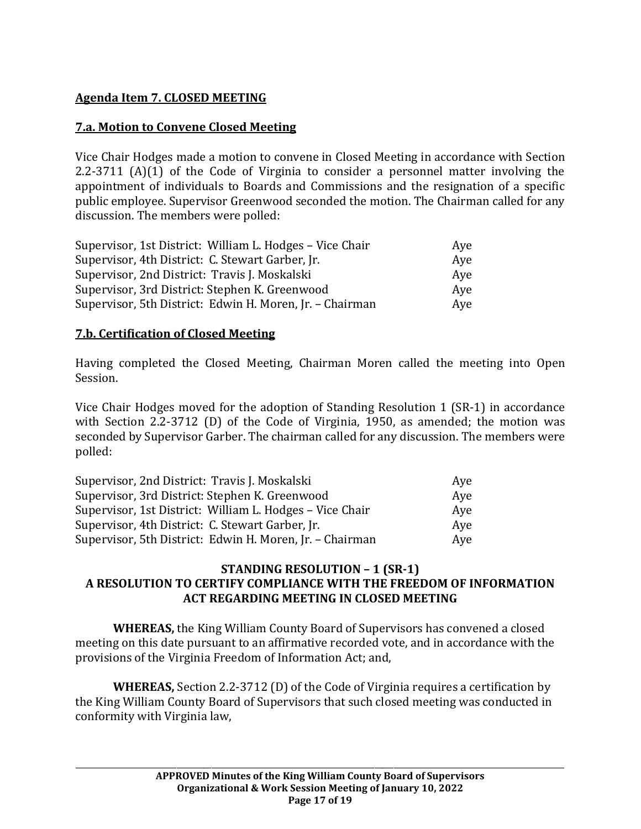# **Agenda Item 7. CLOSED MEETING**

# **7.a. Motion to Convene Closed Meeting**

Vice Chair Hodges made a motion to convene in Closed Meeting in accordance with Section 2.2-3711 (A)(1) of the Code of Virginia to consider a personnel matter involving the appointment of individuals to Boards and Commissions and the resignation of a specific public employee. Supervisor Greenwood seconded the motion. The Chairman called for any discussion. The members were polled:

| Supervisor, 1st District: William L. Hodges - Vice Chair | Aye |
|----------------------------------------------------------|-----|
| Supervisor, 4th District: C. Stewart Garber, Jr.         | Aye |
| Supervisor, 2nd District: Travis J. Moskalski            | Aye |
| Supervisor, 3rd District: Stephen K. Greenwood           | Aye |
| Supervisor, 5th District: Edwin H. Moren, Jr. - Chairman | Aye |

## **7.b. Certification of Closed Meeting**

Having completed the Closed Meeting, Chairman Moren called the meeting into Open Session.

Vice Chair Hodges moved for the adoption of Standing Resolution 1 (SR-1) in accordance with Section 2.2-3712 (D) of the Code of Virginia, 1950, as amended; the motion was seconded by Supervisor Garber. The chairman called for any discussion. The members were polled:

| Supervisor, 2nd District: Travis J. Moskalski            | Ave |
|----------------------------------------------------------|-----|
| Supervisor, 3rd District: Stephen K. Greenwood           | Aye |
| Supervisor, 1st District: William L. Hodges - Vice Chair | Ave |
| Supervisor, 4th District: C. Stewart Garber, Jr.         | Ave |
| Supervisor, 5th District: Edwin H. Moren, Jr. - Chairman | Aye |

### **STANDING RESOLUTION – 1 (SR-1) A RESOLUTION TO CERTIFY COMPLIANCE WITH THE FREEDOM OF INFORMATION ACT REGARDING MEETING IN CLOSED MEETING**

**WHEREAS,** the King William County Board of Supervisors has convened a closed meeting on this date pursuant to an affirmative recorded vote, and in accordance with the provisions of the Virginia Freedom of Information Act; and,

**WHEREAS,** Section 2.2-3712 (D) of the Code of Virginia requires a certification by the King William County Board of Supervisors that such closed meeting was conducted in conformity with Virginia law,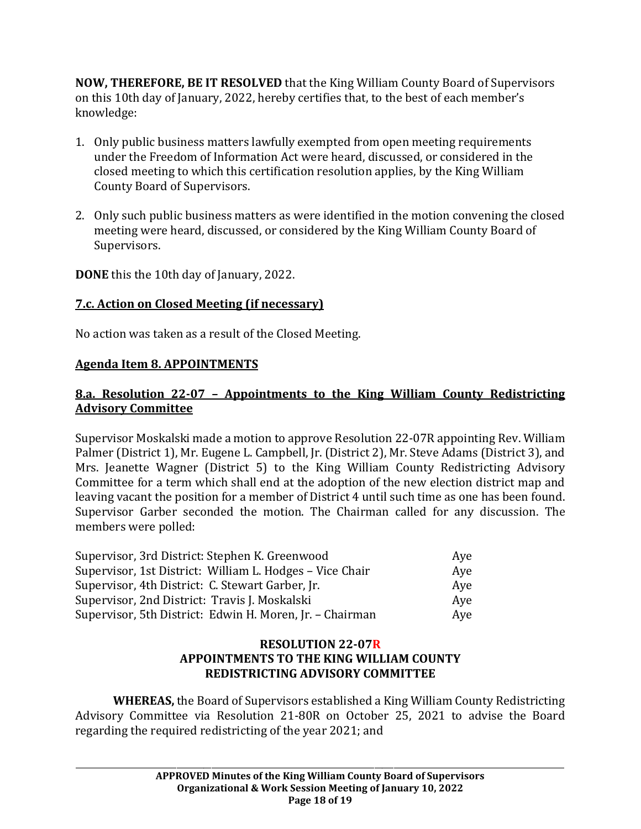**NOW, THEREFORE, BE IT RESOLVED** that the King William County Board of Supervisors on this 10th day of January, 2022, hereby certifies that, to the best of each member's knowledge:

- 1. Only public business matters lawfully exempted from open meeting requirements under the Freedom of Information Act were heard, discussed, or considered in the closed meeting to which this certification resolution applies, by the King William County Board of Supervisors.
- 2. Only such public business matters as were identified in the motion convening the closed meeting were heard, discussed, or considered by the King William County Board of Supervisors.

**DONE** this the 10th day of January, 2022.

# **7.c. Action on Closed Meeting (if necessary)**

No action was taken as a result of the Closed Meeting.

# **Agenda Item 8. APPOINTMENTS**

# **8.a. Resolution 22-07 – Appointments to the King William County Redistricting Advisory Committee**

Supervisor Moskalski made a motion to approve Resolution 22-07R appointing Rev. William Palmer (District 1), Mr. Eugene L. Campbell, Jr. (District 2), Mr. Steve Adams (District 3), and Mrs. Jeanette Wagner (District 5) to the King William County Redistricting Advisory Committee for a term which shall end at the adoption of the new election district map and leaving vacant the position for a member of District 4 until such time as one has been found. Supervisor Garber seconded the motion. The Chairman called for any discussion. The members were polled:

| Supervisor, 3rd District: Stephen K. Greenwood           | Aye |  |
|----------------------------------------------------------|-----|--|
| Supervisor, 1st District: William L. Hodges – Vice Chair | Ave |  |
| Supervisor, 4th District: C. Stewart Garber, Jr.         | Aye |  |
| Supervisor, 2nd District: Travis J. Moskalski            | Aye |  |
| Supervisor, 5th District: Edwin H. Moren, Jr. - Chairman | Aye |  |

## **RESOLUTION 22-07R APPOINTMENTS TO THE KING WILLIAM COUNTY REDISTRICTING ADVISORY COMMITTEE**

**WHEREAS,** the Board of Supervisors established a King William County Redistricting Advisory Committee via Resolution 21-80R on October 25, 2021 to advise the Board regarding the required redistricting of the year 2021; and